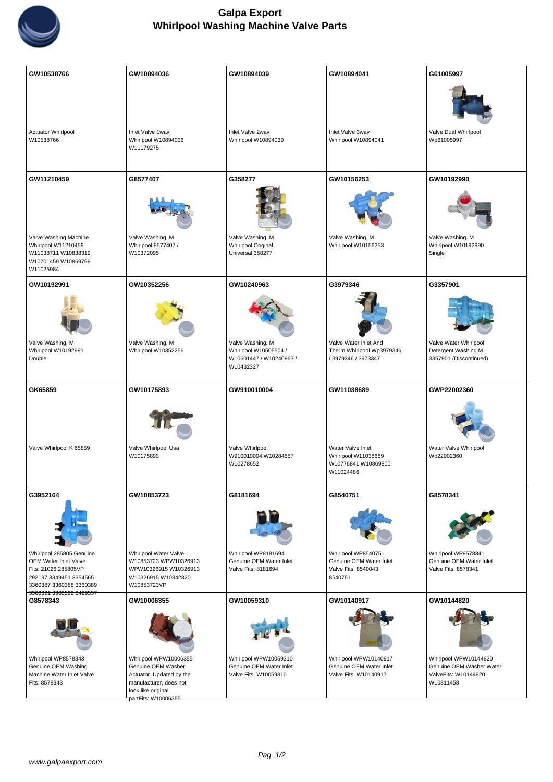

| GW10538766                                                        | GW10894036                                                                                                             | GW10894039                                       | GW10894041                                         | G61005997                                                      |
|-------------------------------------------------------------------|------------------------------------------------------------------------------------------------------------------------|--------------------------------------------------|----------------------------------------------------|----------------------------------------------------------------|
| Actuator Whirlpool<br>W10538766                                   | Inlet Valve 1way<br>Whirlpool W10894036                                                                                | Inlet Valve 2way<br>Whirlpool W10894039          | Inlet Valve 3way<br>Whirlpool W10894041            | Valve Dual Whirlpool<br>Wp61005997                             |
|                                                                   | W11179275                                                                                                              |                                                  |                                                    |                                                                |
|                                                                   |                                                                                                                        |                                                  |                                                    |                                                                |
| GW11210459                                                        | G8577407                                                                                                               | G358277                                          | GW10156253                                         | GW10192990                                                     |
|                                                                   |                                                                                                                        |                                                  |                                                    |                                                                |
| Valve Washing Machine<br>Whirlpool W11210459                      | Valve Washing. M<br>Whirlpool 8577407 /                                                                                | Valve Washing. M<br>Whirlpool Original           | Valve Washing. M<br>Whirlpool W10156253            | Valve Washing. M<br>Whirlpool W10192990                        |
| W11038711 W10838319<br>W10701459 W10869799<br>W11025984           | W10372095                                                                                                              | Universal 358277                                 |                                                    | Single                                                         |
| GW10192991                                                        | GW10352256                                                                                                             | GW10240963                                       | G3979346                                           | G3357901                                                       |
|                                                                   |                                                                                                                        |                                                  |                                                    |                                                                |
| Valve Washing. M<br>Whirlpool W10192991                           | Valve Washing. M<br>Whirlpool W10352256                                                                                | Valve Washing. M<br>Whirlpool W10505504 /        | Valve Water Inlet And<br>Therm Whirlpool Wp3979346 | Valve Water Whirlpool<br>Detergent Washing M.                  |
| Double                                                            |                                                                                                                        | W10601447 / W10240963 /<br>W10432327             | / 3979346 / 3973347                                | 3357901 (Discontinued)                                         |
|                                                                   |                                                                                                                        |                                                  |                                                    |                                                                |
| GK65859                                                           | GW10175893                                                                                                             | GW910010004                                      | GW11038689                                         | GWP22002360                                                    |
| Valve Whirlpool K 65859                                           | Valve Whirlpool Usa<br>W10175893                                                                                       | Valve Whirlpool<br>W910010004 W10284557          | Water Valve Inlet<br>Whirlpool W11038689           | Water Valve Whirlpool<br>Wp22002360                            |
|                                                                   |                                                                                                                        | W10278652                                        | W10776841 W10869800<br>W11024486                   |                                                                |
| G3952164                                                          | GW10853723                                                                                                             | G8181694                                         | G8540751                                           | G8578341                                                       |
|                                                                   |                                                                                                                        |                                                  |                                                    |                                                                |
| Whirlpool 285805 Genuine                                          | Whirlpool Water Valve                                                                                                  | Whirlpool WP8181694                              | Whirlpool WP8540751                                | Whirlpool WP8578341                                            |
| OEM Water Inlet Valve<br>Fits: 21026 285805VP                     | W10853723 WPW10326913<br>WPW10326915 W10326913                                                                         | Genuine OEM Water Inlet<br>Valve Fits: 8181694   | Genuine OEM Water Inlet<br>Valve Fits: 8540043     | Genuine OEM Water Inlet<br>Valve Fits: 8578341                 |
| 292197 3349451 3354565<br>3360387 3360388 3360389                 | W10326915 W10342320<br>W10853723VP                                                                                     |                                                  | 8540751                                            |                                                                |
| 3360391 3360392 3429537<br>G8578343                               | GW10006355                                                                                                             | GW10059310                                       | GW10140917                                         | GW10144820                                                     |
|                                                                   |                                                                                                                        |                                                  |                                                    |                                                                |
| Whirlpool WP8578343                                               | Whirlpool WPW10006355                                                                                                  | Whirlpool WPW10059310                            | Whirlpool WPW10140917                              | Whirlpool WPW10144820                                          |
| Genuine OEM Washing<br>Machine Water Inlet Valve<br>Fits: 8578343 | Genuine OEM Washer<br>Actuator. Updated by the<br>manufacturer, does not<br>look like original<br>part Fits: W10006355 | Genuine OEM Water Inlet<br>Valve Fits: W10059310 | Genuine OEM Water Inlet<br>Valve Fits: W10140917   | Genuine OEM Washer Water<br>Valve Fits: W10144820<br>W10311458 |